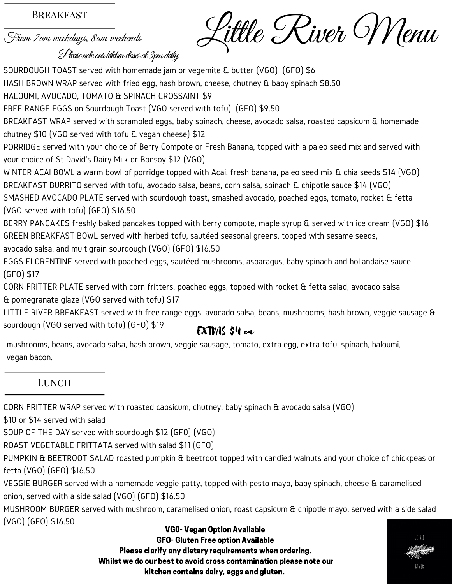#### **BREAKFAST**

From 7am weekdays, 8am weekends

Little River Menu

#### Plase note our kitchen doses at 3pm daily

& pomegranate glaze (VGO served with tofu) \$17<br>LITTLE RIVER BREAKFAST served with free range eggs, avocado salsa, beans, mushrooms, hash brown, veggie sausage & SOURDOUGH TOAST served with homemade jam or vegemite & butter (VGO) (GFO) \$6 HASH BROWN WRAP served with fried egg, hash brown, cheese, chutney & baby spinach \$8.50 HALOUMI, AVOCADO, TOMATO & SPINACH CROSSAINT \$9 FREE RANGE EGGS on Sourdough Toast (VGO served with tofu) (GFO) \$9.50 BREAKFAST WRAP served with scrambled eggs, baby spinach, cheese, avocado salsa, roasted capsicum & homemade chutney \$10 (VGO served with tofu & vegan cheese) \$12 PORRIDGE served with your choice of Berry Compote or Fresh Banana, topped with <sup>a</sup> paleo seed mix and served with your choice of St David's Dairy Milk or Bonsoy \$12 (VGO) WINTER ACAI BOWL <sup>a</sup> warm bowl of porridge topped with Acai, fresh banana, paleo seed mix & chia seeds \$14 (VGO) BREAKFAST BURRITO served with tofu, avocado salsa, beans, corn salsa, spinach & chipotle sauce \$14 (VGO) SMASHED AVOCADO PLATE served with sourdough toast, smashed avocado, poached eggs, tomato, rocket & fetta (VGO served with tofu) (GFO) \$16.50 BERRY PANCAKES freshly baked pancakes topped with berry compote, maple syrup & served with ice cream (VGO) \$16 GREEN BREAKFAST BOWL served with herbed tofu, sautéed seasonal greens, topped with sesame seeds, avocado salsa, and multigrain sourdough (VGO) (GFO) \$16.50 EGGS FLORENTINE served with poached eggs, sautéed mushrooms, asparagus, baby spinach and hollandaise sauce (GFO) \$17 CORN FRITTER PLATE served with corn fritters, poached eggs, topped with rocket & fetta salad, avocado salsa & pomegranate glaze (VGO served with tofu) \$17

sourdough (VGO served with tofu) (GFO) \$19

### EXTRAS \$4 ea

mushrooms, beans, avocado salsa, hash brown, veggie sausage, tomato, extra egg, extra tofu, spinach, haloumi, vegan bacon.

#### **LUNCH**

CORN FRITTER WRAP served with roasted capsicum, chutney, baby spinach & avocado salsa (VGO)

\$10 or \$14 served with salad

SOUP OF THE DAY served with sourdough \$12 (GF0) (VGO)

ROAST VEGETABLE FRITTATA served with salad \$11 (GFO)

PUMPKIN & BEETROOT SALAD roasted pumpkin & beetroot topped with candied walnuts and your choice of chickpeas or fetta (VGO) (GFO) \$16.50

VEGGIE BURGER served with a homemade veggie patty, topped with pesto mayo, baby spinach, cheese & caramelised onion, served with a side salad (VGO) (GFO) \$16.50

MUSHROOM BURGER served with mushroom, caramelised onion, roast capsicum & chipotle mayo, served with a side salad (VGO) (GFO) \$16.50

VG0- Vegan Option Available GFO- Gluten Free option Available Please clarify any dietary requirements when ordering. Whilst we do our best to avoid cross contamination please note our kitchen contains dairy, eggs and gluten.